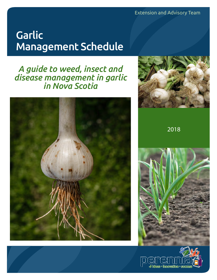Extension and Advisory Team

# **Garlic** Management Schedule

## *A guide to weed, insect and disease management in garlic in Nova Scotia*





2018



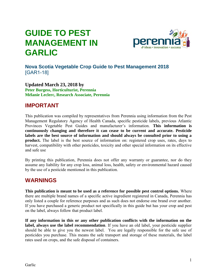## **GUIDE TO PEST MANAGEMENT IN GARLIC**



#### **Nova Scotia Vegetable Crop Guide to Pest Management 2018**  [GAR1-18]

**Updated March 23, 2018 by Peter Burgess, Horticulturist, Perennia Mélanie Leclerc, Research Associate, Perennia** 

#### **IMPORTANT**

This publication was compiled by representatives from Perennia using information from the Pest Management Regulatory Agency of Health Canada, specific pesticide labels, previous Atlantic Provinces Vegetable Pest Guides and manufacturer's information. **This information is continuously changing and therefore it can cease to be current and accurate. Pesticide labels are the best source of information and should always be consulted prior to using a product.** The label is the best source of information on: registered crop uses, rates, days to harvest, compatibility with other pesticides, toxicity and other special information on its effective and safe use

By printing this publication, Perennia does not offer any warranty or guarantee, nor do they assume any liability for any crop loss, animal loss, health, safety or environmental hazard caused by the use of a pesticide mentioned in this publication.

#### **WARNINGS**

**This publication is meant to be used as a reference for possible pest control options.** Where there are multiple brand names of a specific active ingredient registered in Canada, Perennia has only listed a couple for reference purposes and as such does not endorse one brand over another. If you have purchased a generic product not specifically in this guide but has your crop and pest on the label, always follow that product label.

**If any information in this or any other publication conflicts with the information on the label, always use the label recommendation**. If you have an old label, your pesticide supplier should be able to give you the newest label. You are legally responsible for the safe use of pesticides you purchase. This means the safe transport and storage of these materials, the label rates used on crops, and the safe disposal of containers.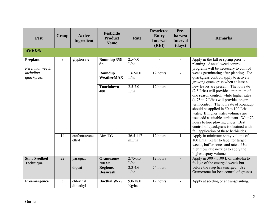| <b>Pest</b>                              | Group           | <b>Active</b><br>Ingredient | <b>Pesticide</b><br><b>Product</b><br><b>Name</b>                 | Rate                                        | <b>Restricted</b><br><b>Entry</b><br><b>Interval</b><br>(REI) | Pre-<br>harvest<br><b>Interval</b><br>(days) | <b>Remarks</b>                                                                                                                                                                                                                                                                                                                                                                                                                                                              |
|------------------------------------------|-----------------|-----------------------------|-------------------------------------------------------------------|---------------------------------------------|---------------------------------------------------------------|----------------------------------------------|-----------------------------------------------------------------------------------------------------------------------------------------------------------------------------------------------------------------------------------------------------------------------------------------------------------------------------------------------------------------------------------------------------------------------------------------------------------------------------|
| <b>WEEDS:</b>                            |                 |                             |                                                                   |                                             |                                                               |                                              |                                                                                                                                                                                                                                                                                                                                                                                                                                                                             |
| <b>Preplant</b><br>Perennial weeds       | 9               | glyphosate                  | Roundup 356<br>Sn                                                 | $2.5 - 7.0$<br>L/ha                         |                                                               |                                              | Apply in the fall or spring prior to<br>planting. Annual weed control<br>programs will be necessary to control                                                                                                                                                                                                                                                                                                                                                              |
| including<br>quackgrass                  |                 |                             | Roundup<br>WeatherMAX                                             | $1.67 - 8.0$<br>L/ha                        | 12 hours                                                      | $\blacksquare$                               | weeds germinating after planting. For<br>quackgrass control, apply to actively<br>growing quackgrass when at least 4                                                                                                                                                                                                                                                                                                                                                        |
|                                          |                 |                             | <b>Touchdown</b><br>480                                           | $2.5 - 7.0$<br>L/ha                         | 12 hours                                                      | $\blacksquare$                               | new leaves are present. The low rate<br>$(2.5 L/ha)$ will provide a minimum of<br>one season control, while higher rates<br>$(4.75 \text{ to } 7 \text{ L/ha})$ will provide longer<br>term control. The low rate of Roundup<br>should be applied in 50 to 100 L/ha<br>water. If higher water volumes are<br>used add a suitable surfactant. Wait 72<br>hours before plowing under. Best<br>control of quackgrass is obtained with<br>fall application of these herbicides. |
|                                          | 14              | carfentrazone-<br>ethyl     | Aim EC                                                            | $36.5 - 117$<br>mL/ha                       | 12 hours                                                      | $\mathbf{1}$                                 | Apply in minimum spray volume of<br>100 L/ha. Refer to label for target<br>weeds, buffer zones and rates. Use<br>high flow rate nozzles to apply the<br>highest spray volume.                                                                                                                                                                                                                                                                                               |
| <b>Stale Seedbed</b><br><b>Technique</b> | $\overline{22}$ | paraquat<br>diquat          | <b>Gramoxone</b><br><b>200 Sn</b><br>Reglone,<br><b>Dessicash</b> | $2.75 - 5.5$<br>L/ha<br>$2.3 - 4.6$<br>L/ha | 12 hours<br>24 hours                                          |                                              | Apply in 300 - 1100 L of water/ha to<br>foliage of the emerged weeds but<br>before the crop has emerged. Use<br>Gramoxone for best control of grasses.                                                                                                                                                                                                                                                                                                                      |
| Preemergence                             | $\overline{3}$  | chlorthal<br>dimethyl       | Dacthal W-75                                                      | $9.0 - 18.0$<br>Kg/ha                       | 12 hours                                                      |                                              | Apply at seeding or at transplanting.                                                                                                                                                                                                                                                                                                                                                                                                                                       |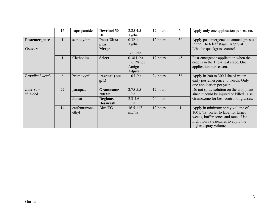|                        | 15 | napropamide    | <b>Devrinol 50</b> | $2.25 - 4.5$ | 12 hours | 60 | Apply only one application per season.   |
|------------------------|----|----------------|--------------------|--------------|----------|----|------------------------------------------|
|                        |    |                | DF                 | Kg/ha        |          |    |                                          |
| Postemergence          |    | sethoxydim     | <b>Poast Ultra</b> | $0.32 - 1.1$ | 12 hours | 50 | Apply postemergence to annual grasses    |
|                        |    |                | plus               | Kg/ha        |          |    | in the 1 to 6 leaf stage. Apply at 1.1   |
| Grasses                |    |                | <b>Merge</b>       |              |          |    | L/ha for quackgrass control.             |
|                        |    |                |                    | $1-2$ L/ha   |          |    |                                          |
|                        | -1 | Clethodim      | <b>Select</b>      | $0.38$ L/ha  | 12 hours | 45 | Post-emergence application when the      |
|                        |    |                |                    | $+0.5\%$ v/v |          |    | crop is in the 1 to 4 leaf stage. One    |
|                        |    |                |                    | Amigo        |          |    | application per season.                  |
|                        |    |                |                    | Adjuvant     |          |    |                                          |
| <b>Broadleaf</b> weeds | 6  | bromoxynil     | Pardner (280       | $1.0$ L/ha   | 24 hours | 58 | Apply in 200 to 300 L/ha of water,       |
|                        |    |                | g(L)               |              |          |    | early postemergence to weeds. Only       |
|                        |    |                |                    |              |          |    | one application per year.                |
| Inter-row              | 22 | paraquat       | <b>Gramoxone</b>   | $2.75 - 5.5$ | 12 hours |    | Do not spray solution on the crop plant  |
| shielded               |    |                | <b>200 Sn</b>      | L/ha         |          |    | since it could be injured or killed. Use |
|                        |    | diquat         | Reglone,           | $2.3 - 4.6$  | 24 hours |    | Gramoxone for best control of grasses.   |
|                        |    |                | <b>Dessicash</b>   | L/ha         |          |    |                                          |
|                        | 14 | carfentrazone- | Aim EC             | $36.5 - 117$ | 12 hours |    | Apply in minimum spray volume of         |
|                        |    | ethyl          |                    | mL/ha        |          |    | 100 L/ha. Refer to label for target      |
|                        |    |                |                    |              |          |    | weeds, buffer zones and rates. Use       |
|                        |    |                |                    |              |          |    | high flow rate nozzles to apply the      |
|                        |    |                |                    |              |          |    | highest spray volume.                    |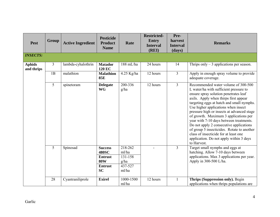| <b>Pest</b>                 | <b>Group</b>   | <b>Active Ingredient</b> | <b>Pesticide</b><br><b>Product</b><br><b>Name</b>                                             | Rate                                                    | <b>Restricted-</b><br><b>Entry</b><br><b>Interval</b><br>(REI) | Pre-<br>harvest<br><b>Interval</b><br>(days) | <b>Remarks</b>                                                                                                                                                                                                                                                                                                                                                                                                                                                                                                                                                                    |
|-----------------------------|----------------|--------------------------|-----------------------------------------------------------------------------------------------|---------------------------------------------------------|----------------------------------------------------------------|----------------------------------------------|-----------------------------------------------------------------------------------------------------------------------------------------------------------------------------------------------------------------------------------------------------------------------------------------------------------------------------------------------------------------------------------------------------------------------------------------------------------------------------------------------------------------------------------------------------------------------------------|
| <b>INSECTS:</b>             |                |                          |                                                                                               |                                                         |                                                                |                                              |                                                                                                                                                                                                                                                                                                                                                                                                                                                                                                                                                                                   |
| <b>Aphids</b><br>and thrips | $\overline{3}$ | lambda-cyhalothrin       | <b>Matador</b><br><b>120 EC</b>                                                               | 188 mL/ha                                               | 24 hours                                                       | 14                                           | Thrips only $-3$ applications per season.                                                                                                                                                                                                                                                                                                                                                                                                                                                                                                                                         |
|                             | 1B             | malathion                | <b>Malathion</b><br><b>85E</b>                                                                | 4.25 Kg/ha                                              | 12 hours                                                       | $\overline{3}$                               | Apply in enough spray volume to provide<br>adequate coverage.                                                                                                                                                                                                                                                                                                                                                                                                                                                                                                                     |
|                             | 5              | spinetoram               | <b>Delegate</b><br><b>WG</b>                                                                  | 200-336<br>g/ha                                         | 12 hours                                                       | $\overline{3}$                               | Recommended water volume of 300-500<br>L water/ha with sufficient pressure to<br>ensure spray solution penetrates leaf<br>axils. Apply when thirps first appear<br>targeting eggs at hatch and small nymphs.<br>Use higher applications when insect<br>pressure high or insects at advanced stage<br>of growth. Maximum 3 applications per<br>year with 7-10 days between treatments.<br>Do not apply 2 consecutive applications<br>of group 5 insecticides. Rotate to another<br>class of insecticide for at least one<br>application. Do not apply within 3 days<br>to Harvest. |
|                             | 5              | Spinosad                 | <b>Success</b><br><b>480SC</b><br><b>Entrust</b><br><b>80W</b><br><b>Entrust</b><br><b>SC</b> | 218-262<br>ml/ha<br>131-158<br>g/ha<br>437-527<br>ml/ha |                                                                | $\overline{3}$                               | Target small nymphs and eggs at<br>hatching. Allow 7-10 days between<br>applications. Max 3 applications per year.<br>Apply in 300-500 L/ha.                                                                                                                                                                                                                                                                                                                                                                                                                                      |
|                             | 28             | Cyantraniliprole         | <b>Exirel</b>                                                                                 | 1000-1500<br>ml/ha                                      | 12 hours                                                       | $\mathbf{1}$                                 | Thrips (Suppression only). Begin<br>applications when thrips populations are                                                                                                                                                                                                                                                                                                                                                                                                                                                                                                      |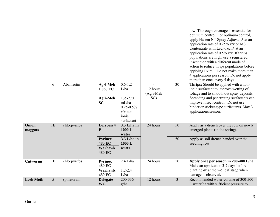|                  |    |              |                                                             |                                    |                       |                 | low. Thorough coverage is essential for<br>optimum control. For optimum control,<br>apply Hasten NT Spray Adjuvant* at an<br>application rate of 0.25% v/v or MSO<br>Contentrate with Leci-Tech* at an<br>application rate of $0.5\%$ v/v. If thrips<br>populations are high, use a registered<br>insecticide with a different mode of<br>action to reduce thrips populations before<br>applying Exirel. Do not make more than<br>4 applications per season. Do not apply<br>more than once every 5 days. |
|------------------|----|--------------|-------------------------------------------------------------|------------------------------------|-----------------------|-----------------|-----------------------------------------------------------------------------------------------------------------------------------------------------------------------------------------------------------------------------------------------------------------------------------------------------------------------------------------------------------------------------------------------------------------------------------------------------------------------------------------------------------|
|                  | 6  | Abamectin    | <b>Agri-Mek</b><br>1.9% EC                                  | $0.6 - 1.2$<br>L/ha                | 12 hours<br>(Agri-Mek | $\overline{30}$ | <b>Thrips:</b> Should be applied with a non-<br>ionic surfactant to improve wetting of<br>foliage and to smooth out spray deposits.                                                                                                                                                                                                                                                                                                                                                                       |
|                  |    |              | <b>Agri-Mek</b><br><b>SC</b>                                | 135-270<br>mL/ha<br>$0.25 - 0.5\%$ | SC)                   |                 | Spreading and penetrating surfactants can<br>improve insect control. Do not use<br>binder or sticker-type surfactants. Max 3                                                                                                                                                                                                                                                                                                                                                                              |
|                  |    |              |                                                             | $v/v$ non-<br>ionic<br>surfactant  |                       |                 | applications/season.                                                                                                                                                                                                                                                                                                                                                                                                                                                                                      |
| Onion<br>maggots | 1B | chlorpyrifos | Lorsban 4<br>E                                              | $3.5$ L/ha in<br>1000L<br>water    | 24 hours              | $\overline{50}$ | Apply as a drench over the row on newly<br>emerged plants (in the spring).                                                                                                                                                                                                                                                                                                                                                                                                                                |
|                  |    |              | <b>Pyrinex</b><br><b>480 EC</b><br>Warhawk<br><b>480 EC</b> | 3.5 L/ha in<br>1000L<br>water      |                       | 50              | Apply as soil drench banded over the<br>seedling row.                                                                                                                                                                                                                                                                                                                                                                                                                                                     |
| <b>Cutworms</b>  | 1B | chlorpyrifos | <b>Pyrinex</b><br><b>480 EC</b><br>Warhawk<br>480 EC        | $2.4$ L/ha<br>$1.2 - 2.4$<br>L/ha  | 24 hours              | 50              | Apply once per season in 200-400 L/ha.<br>Make an application 3-7 days before<br>planting or at the 2-5 leaf stage when<br>damage is observed.                                                                                                                                                                                                                                                                                                                                                            |
| <b>Leek Moth</b> | 5  | spinetoram   | <b>Delegate</b><br><b>WG</b>                                | 200-336<br>g/ha                    | 12 hours              | $\overline{3}$  | Recommended water volume of 300-500<br>L water/ha with sufficient pressure to                                                                                                                                                                                                                                                                                                                                                                                                                             |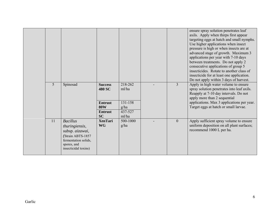|    |                                                                                                                                          |                                                                                                |                                                         |                | ensure spray solution penetrates leaf<br>axils. Apply when thirps first appear<br>targeting eggs at hatch and small nymphs.<br>Use higher applications when insect<br>pressure is high or when insects are at<br>advanced stage of growth. Maximum 3<br>applications per year with 7-10 days<br>between treatments. Do not apply 2<br>consecutive applications of group 5<br>insecticides. Rotate to another class of<br>insecticide for at least one application.<br>Do not apply within 3 days of harvest. |
|----|------------------------------------------------------------------------------------------------------------------------------------------|------------------------------------------------------------------------------------------------|---------------------------------------------------------|----------------|--------------------------------------------------------------------------------------------------------------------------------------------------------------------------------------------------------------------------------------------------------------------------------------------------------------------------------------------------------------------------------------------------------------------------------------------------------------------------------------------------------------|
| 5  | Spinosad                                                                                                                                 | <b>Success</b><br><b>480 SC</b><br><b>Entrust</b><br><b>80W</b><br><b>Entrust</b><br><b>SC</b> | 218-262<br>ml/ha<br>131-158<br>g/ha<br>437-527<br>ml/ha | $\overline{3}$ | Apply in high water volume to ensure<br>spray solution penetrates into leaf axils.<br>Reapply at 7-10 day intervals. Do not<br>apply more than 2 sequential<br>applications. Max 3 applications per year.<br>Target eggs at hatch or small larvae.                                                                                                                                                                                                                                                           |
| 11 | <b>Bacillus</b><br>thuringiensis,<br>subsp. aizawai,<br>(Strain ABTS-1857<br>fermentation solids,<br>spores, and<br>insecticidal toxins) | <b>XenTari</b><br><b>WG</b>                                                                    | 500-1000<br>g/ha                                        | $\overline{0}$ | Apply sufficient spray volume to ensure<br>uniform deposition on all plant surfaces;<br>recommend 1000 L per ha.                                                                                                                                                                                                                                                                                                                                                                                             |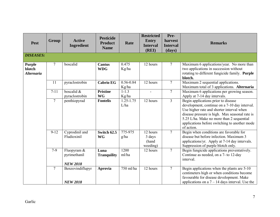| <b>Pest</b>                                  | Group           | <b>Active</b><br>Ingredient                    | <b>Pesticide</b><br><b>Product</b><br><b>Name</b> | Rate                           | <b>Restricted</b><br><b>Entry</b><br><b>Interval</b><br>(REI) | Pre-<br>harvest<br><b>Interval</b><br>(days) | <b>Remarks</b>                                                                                                                                                                                                                                                                                  |
|----------------------------------------------|-----------------|------------------------------------------------|---------------------------------------------------|--------------------------------|---------------------------------------------------------------|----------------------------------------------|-------------------------------------------------------------------------------------------------------------------------------------------------------------------------------------------------------------------------------------------------------------------------------------------------|
| <b>DISEASES:</b>                             |                 |                                                |                                                   |                                |                                                               |                                              |                                                                                                                                                                                                                                                                                                 |
| <b>Purple</b><br>blotch<br><b>Alternaria</b> | $7\overline{ }$ | boscalid                                       | <b>Cantus</b><br><b>WDG</b>                       | 0.475<br>Kg/ha                 | 12 hours                                                      | $\overline{7}$                               | Maximum 6 applications/year. No more than<br>two applications in succession without<br>rotating to different fungicide family. Purple<br>blotch.                                                                                                                                                |
|                                              | 11              | pyraclostrobin                                 | <b>Cabrio EG</b>                                  | 0.56-0.84<br>Kg/ha             | 12 hours                                                      | $\overline{7}$                               | Maximum 2 sequential applications.<br>Maximum total of 3 applications. Alternaria                                                                                                                                                                                                               |
|                                              | $7 - 11$        | boscalid &<br>pyraclostrobin                   | <b>Pristine</b><br><b>WG</b>                      | $1 - 1.3$<br>Kg/ha             | $\blacksquare$                                                | $\tau$                                       | Maximum 6 applications per growing season.<br>Apply at 7-14 day intervals.                                                                                                                                                                                                                      |
|                                              | $\tau$          | penthiopyrad                                   | <b>Fontelis</b>                                   | $1.\overline{25-1.75}$<br>L/ha | 12 hours                                                      | $\overline{3}$                               | Begin applications prior to disease<br>development, continue on a 7-10 day interval.<br>Use higher rate and shorter interval when<br>disease pressure is high. Max seasonal rate is<br>5.25 L/ha. Make no more than 2 sequential<br>applications before switching to another mode<br>of action. |
|                                              | $9 - 12$        | Cyprodinil and<br>Fludioxinil                  | Switch 62.5<br><b>WG</b>                          | 775-975<br>g/ha                | 12 hours<br>3 days<br>(hand<br>weeding)                       | $\tau$                                       | Begin when conditions are favorable for<br>disease but before infection. Maximum 3<br>applications/yr. Apply at 7-14 day intervals.<br>Suppression of purple blotch only.                                                                                                                       |
|                                              | $7-9$           | Fluopyram &<br>pyrimethanil<br><b>NEW 2018</b> | Luna<br><b>Tranquility</b>                        | 1200<br>ml/ha                  | 12 hours                                                      | $\overline{7}$                               | Begin fungicide applications preventatively.<br>Continue as needed, on a 7- to 12-day<br>interval.                                                                                                                                                                                              |
|                                              | $\overline{7}$  | Benzovindiflupyr<br><b>NEW 2018</b>            | Aprovia                                           | 750 ml/ha                      | 12 hours                                                      | $\overline{7}$                               | Begin applications when the plants are 5-10<br>centimeters high or when conditions become<br>favourable for disease development. Make<br>applications on a $7 - 14$ days interval. Use the                                                                                                      |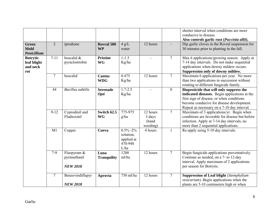|                                                   |                |                                                |                                |                                                           |                                         |                | shorter interval when conditions are more<br>conducive to disease.<br>Also controls garlic rust (Puccinia allii).                                                                                                                  |
|---------------------------------------------------|----------------|------------------------------------------------|--------------------------------|-----------------------------------------------------------|-----------------------------------------|----------------|------------------------------------------------------------------------------------------------------------------------------------------------------------------------------------------------------------------------------------|
| <b>Green</b><br><b>Mold</b><br>Penicillium        | $\overline{2}$ | iprodione                                      | <b>Rovral 500</b><br><b>WP</b> | 4 g/L<br>water                                            | 12 hours                                |                | Dip garlic cloves in the Rovral suspension for<br>30 minutes prior to planting in the fall.                                                                                                                                        |
| <b>Botrytis</b><br>leaf blight<br>and neck<br>rot | $7 - 11$       | boscalid $\&$<br>pyraclostrobin                | <b>Pristine</b><br><b>WG</b>   | $1 - 1.3$<br>Kg/ha                                        |                                         | $\overline{7}$ | Max 6 applications/growing season. Apply at<br>7-14 day intervals. Do not make sequential<br>applications when downy mildew occurs.<br>Suppression only of downy mildew.                                                           |
|                                                   | $\overline{7}$ | boscalid                                       | <b>Cantus</b><br><b>WDG</b>    | 0.475<br>Kg/ha                                            | 12 hours                                | $\overline{7}$ | Maximum 6 applications per year. No more<br>than two applications in succession without<br>rotating to different fungicide family.                                                                                                 |
|                                                   | 44             | <b>Bacillus</b> subtilis                       | <b>Serenade</b><br>Opti        | $1.7 - 2.5$<br>Kg/ha                                      |                                         | $\overline{0}$ | Biopesticide that will only suppress the<br>indicated diseases. Begin applications at the<br>first sign of disease, or when conditions<br>become conducive for disease development.<br>Repeat as necessary on a 7-10 day interval. |
|                                                   | $9 - 12$       | Cyprodinil and<br>Fludioxinil                  | Switch 62.5<br><b>WG</b>       | 775-975<br>g/ha                                           | 12 hours<br>3 days<br>(hand<br>weeding) | $\overline{7}$ | Maximum of 3 applications/yr. Begin when<br>conditions are favorable for disease but before<br>infection. Apply at 7-14 day intervals, no<br>more than 2 sequential applications.                                                  |
|                                                   | M1             | Copper                                         | Cueva                          | $0.5\%$ -2%<br>solution,<br>applied at<br>470-940<br>L/ha | 4 hours                                 | 1              | Re-apply using 5-10 day intervals.                                                                                                                                                                                                 |
|                                                   | $7-9$          | Fluopyram &<br>pyrimethanil<br><b>NEW 2018</b> | Luna<br><b>Tranquility</b>     | 1200<br>ml/ha                                             | 12 hours                                | $\overline{7}$ | Begin fungicide applications preventatively.<br>Continue as needed, on a 7- to 12-day<br>interval. Apply maximum of 2 applications<br>per season for Botrytis.                                                                     |
|                                                   | $\overline{7}$ | Benzovindiflupyr<br><b>NEW 2018</b>            | Aprovia                        | 750 ml/ha                                                 | 12 hours                                | $\tau$         | <b>Suppression of Leaf blight</b> (Stemphylium<br>vesicarium). Begin applications when the<br>plants are 5-10 centimeters high or when                                                                                             |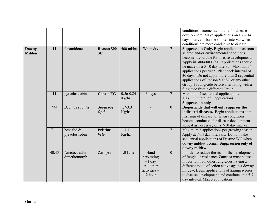|                               |          |                                 |                                |                        |                                                               |                | conditions become favourable for disease<br>development. Make applications on a $7 - 14$<br>days interval. Use the shorter interval when<br>conditions are more conducive to disease.                                                                                                                                                                                                                                                                                      |
|-------------------------------|----------|---------------------------------|--------------------------------|------------------------|---------------------------------------------------------------|----------------|----------------------------------------------------------------------------------------------------------------------------------------------------------------------------------------------------------------------------------------------------------------------------------------------------------------------------------------------------------------------------------------------------------------------------------------------------------------------------|
| <b>Downy</b><br><b>Mildew</b> | 11       | fenamidone                      | <b>Reason 500</b><br><b>SC</b> | $400$ ml/ha            | When dry                                                      | $\overline{7}$ | <b>Suppression Only.</b> Begin application as soon<br>as crop and/or environmental conditions<br>become favourable for disease development.<br>Apply in 300-600 L/ha. Applications should<br>be made on a 5-10 day interval. Maximum 4<br>applications per year. Plant back interval of<br>30 days. Do not apply more than 2 sequential<br>applications of Reason 500 SC or any other<br>Group 11 fungicide before alternating with a<br>fungicide from a different Group. |
|                               | 11       | pyraclostrobin                  | <b>Cabrio EG</b>               | $0.56 - 0.84$<br>Kg/ha | 3 days                                                        | $\overline{7}$ | Maximum 2 sequential applications.<br>Maximum total of 3 applications.<br><b>Suppression only</b>                                                                                                                                                                                                                                                                                                                                                                          |
|                               | $*44$    | <b>Bacillus</b> subtilis        | <b>Serenade</b><br><b>Opti</b> | $1.7 - 3.3$<br>Kg/ha   |                                                               | $\overline{0}$ | Biopesticide that will only suppress the<br>indicated diseases. Begin applications at the<br>first sign of disease, or when conditions<br>become conducive for disease development.<br>Repeat as necessary on a 7-10 day interval.                                                                                                                                                                                                                                         |
|                               | $7 - 11$ | boscalid $\&$<br>pyraclostrobin | <b>Pristine</b><br><b>WG</b>   | $1 - 1.3$<br>Kg/ha     |                                                               | $\overline{7}$ | Maximum 6 applications per growing season.<br>Apply at 7-14 day intervals. Do not make<br>sequential applications of Pristine WG when<br>downy mildew occurs. Suppression only of<br>downy mildew.                                                                                                                                                                                                                                                                         |
|                               | 40,45    | Ametoctradin,<br>dimethomorph   | Zampro                         | $1.0$ L/ha             | Hand<br>harvesting<br>$-1$ day<br>All other<br>$activities -$ | $\overline{0}$ | In order to reduce the risk of the development<br>of fungicide resistance Zampro must be used<br>in rotation with other fungicides having a<br>different mode of action active against downy<br>mildew. Begin applications of <b>Zampro</b> prior                                                                                                                                                                                                                          |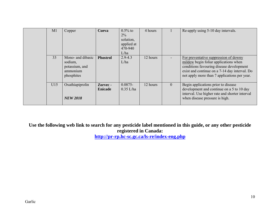| M <sub>1</sub> | Copper                                                                   | <b>Cueva</b>               | $0.5\%$ to<br>$2\%$<br>solution,<br>applied at<br>470-940<br>L/ha | 4 hours  |          | Re-apply using 5-10 day intervals.                                                                                                                                                                                          |
|----------------|--------------------------------------------------------------------------|----------------------------|-------------------------------------------------------------------|----------|----------|-----------------------------------------------------------------------------------------------------------------------------------------------------------------------------------------------------------------------------|
| 33             | Mono- and dibasic<br>sodium,<br>potassium, and<br>ammonium<br>phosphites | <b>Phostrol</b>            | $2.9 - 4.3$<br>L/ha                                               | 12 hours |          | For preventative suppression of downy<br>mildew begin foliar applications when<br>conditions favouring disease development<br>exist and continue on a 7-14 day interval. Do<br>not apply more than 7 applications per year. |
| U15            | Oxathiapiprolin<br><b>NEW 2018</b>                                       | Zorvec -<br><b>Enicade</b> | $0.0875 -$<br>$0.35$ L/ha                                         | 12 hours | $\theta$ | Begin applications prior to disease<br>development and continue on a 5 to 10 day<br>interval. Use higher rate and shorter interval<br>when disease pressure is high.                                                        |

**Use the following web link to search for any pesticide label mentioned in this guide, or any other pesticide registered in Canada:** 

**<http://pr-rp.hc-sc.gc.ca/ls-re/index-eng.php>**